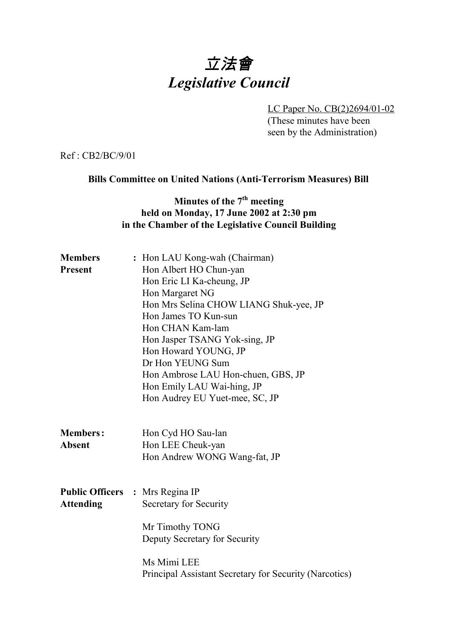# 立法會 *Legislative Council*

LC Paper No. CB(2)2694/01-02 (These minutes have been seen by the Administration)

Ref : CB2/BC/9/01

#### **Bills Committee on United Nations (Anti-Terrorism Measures) Bill**

## **Minutes of the 7<sup>th</sup> meeting held on Monday, 17 June 2002 at 2:30 pm in the Chamber of the Legislative Council Building**

| <b>Members</b>   | : Hon LAU Kong-wah (Chairman)                          |
|------------------|--------------------------------------------------------|
| <b>Present</b>   | Hon Albert HO Chun-yan                                 |
|                  | Hon Eric LI Ka-cheung, JP                              |
|                  | Hon Margaret NG                                        |
|                  | Hon Mrs Selina CHOW LIANG Shuk-yee, JP                 |
|                  | Hon James TO Kun-sun                                   |
|                  | Hon CHAN Kam-lam                                       |
|                  | Hon Jasper TSANG Yok-sing, JP                          |
|                  | Hon Howard YOUNG, JP                                   |
|                  | Dr Hon YEUNG Sum                                       |
|                  | Hon Ambrose LAU Hon-chuen, GBS, JP                     |
|                  | Hon Emily LAU Wai-hing, JP                             |
|                  | Hon Audrey EU Yuet-mee, SC, JP                         |
|                  |                                                        |
| <b>Members:</b>  | Hon Cyd HO Sau-lan                                     |
| <b>Absent</b>    | Hon LEE Cheuk-yan                                      |
|                  | Hon Andrew WONG Wang-fat, JP                           |
|                  |                                                        |
|                  |                                                        |
|                  | <b>Public Officers : Mrs Regina IP</b>                 |
| <b>Attending</b> | Secretary for Security                                 |
|                  | Mr Timothy TONG                                        |
|                  | Deputy Secretary for Security                          |
|                  |                                                        |
|                  | Ms Mimi LEE                                            |
|                  | Principal Assistant Secretary for Security (Narcotics) |
|                  |                                                        |
|                  |                                                        |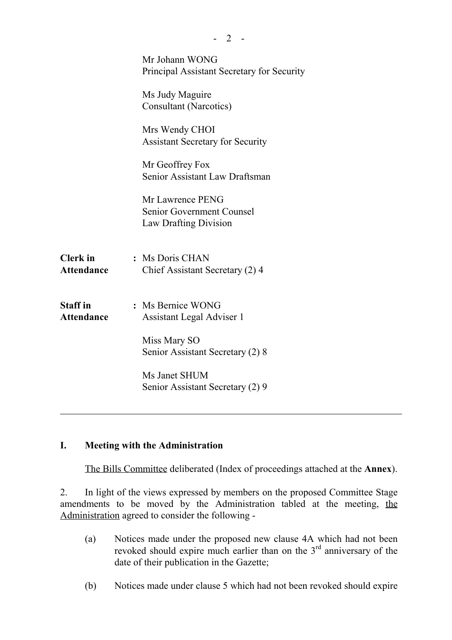|                                      | Mr Johann WONG                                                         |
|--------------------------------------|------------------------------------------------------------------------|
|                                      | Principal Assistant Secretary for Security                             |
|                                      | Ms Judy Maguire<br><b>Consultant (Narcotics)</b>                       |
|                                      | Mrs Wendy CHOI<br><b>Assistant Secretary for Security</b>              |
|                                      | Mr Geoffrey Fox<br>Senior Assistant Law Draftsman                      |
|                                      | Mr Lawrence PENG<br>Senior Government Counsel<br>Law Drafting Division |
| <b>Clerk</b> in<br><b>Attendance</b> | : Ms Doris CHAN<br>Chief Assistant Secretary (2) 4                     |
| <b>Staff</b> in<br><b>Attendance</b> | : Ms Bernice WONG<br>Assistant Legal Adviser 1                         |
|                                      | Miss Mary SO<br>Senior Assistant Secretary (2) 8                       |
|                                      | Ms Janet SHUM<br>Senior Assistant Secretary (2) 9                      |
|                                      |                                                                        |

 $- 2 -$ 

#### **I. Meeting with the Administration**

The Bills Committee deliberated (Index of proceedings attached at the **Annex**).

2. In light of the views expressed by members on the proposed Committee Stage amendments to be moved by the Administration tabled at the meeting, the Administration agreed to consider the following -

- (a) Notices made under the proposed new clause 4A which had not been revoked should expire much earlier than on the  $3<sup>rd</sup>$  anniversary of the date of their publication in the Gazette;
- (b) Notices made under clause 5 which had not been revoked should expire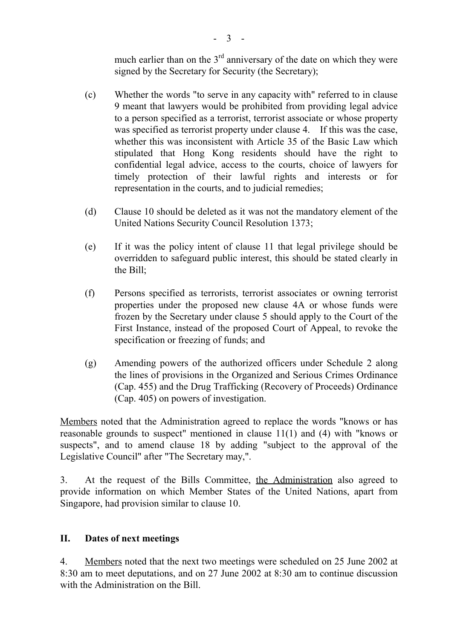much earlier than on the  $3<sup>rd</sup>$  anniversary of the date on which they were signed by the Secretary for Security (the Secretary);

- (c) Whether the words "to serve in any capacity with" referred to in clause 9 meant that lawyers would be prohibited from providing legal advice to a person specified as a terrorist, terrorist associate or whose property was specified as terrorist property under clause 4. If this was the case, whether this was inconsistent with Article 35 of the Basic Law which stipulated that Hong Kong residents should have the right to confidential legal advice, access to the courts, choice of lawyers for timely protection of their lawful rights and interests or for representation in the courts, and to judicial remedies;
- (d) Clause 10 should be deleted as it was not the mandatory element of the United Nations Security Council Resolution 1373;
- (e) If it was the policy intent of clause 11 that legal privilege should be overridden to safeguard public interest, this should be stated clearly in the Bill;
- (f) Persons specified as terrorists, terrorist associates or owning terrorist properties under the proposed new clause 4A or whose funds were frozen by the Secretary under clause 5 should apply to the Court of the First Instance, instead of the proposed Court of Appeal, to revoke the specification or freezing of funds; and
- (g) Amending powers of the authorized officers under Schedule 2 along the lines of provisions in the Organized and Serious Crimes Ordinance (Cap. 455) and the Drug Trafficking (Recovery of Proceeds) Ordinance (Cap. 405) on powers of investigation.

Members noted that the Administration agreed to replace the words "knows or has reasonable grounds to suspect" mentioned in clause 11(1) and (4) with "knows or suspects", and to amend clause 18 by adding "subject to the approval of the Legislative Council" after "The Secretary may,".

3. At the request of the Bills Committee, the Administration also agreed to provide information on which Member States of the United Nations, apart from Singapore, had provision similar to clause 10.

### **II. Dates of next meetings**

4. Members noted that the next two meetings were scheduled on 25 June 2002 at 8:30 am to meet deputations, and on 27 June 2002 at 8:30 am to continue discussion with the Administration on the Bill.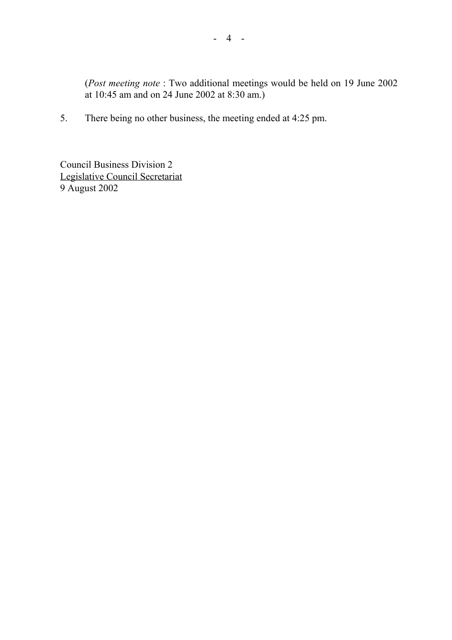(*Post meeting note* : Two additional meetings would be held on 19 June 2002 at 10:45 am and on 24 June 2002 at 8:30 am.)

5. There being no other business, the meeting ended at 4:25 pm.

Council Business Division 2 Legislative Council Secretariat 9 August 2002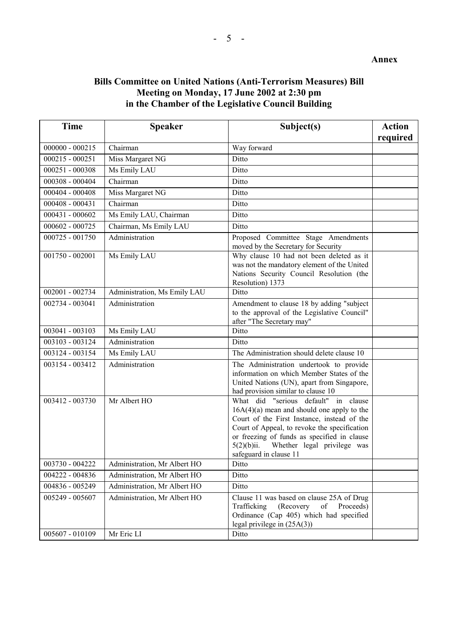#### **Bills Committee on United Nations (Anti-Terrorism Measures) Bill Meeting on Monday, 17 June 2002 at 2:30 pm in the Chamber of the Legislative Council Building**

| <b>Time</b>       | <b>Speaker</b>               | Subject(s)                                                                                                                                                                                                                                                                                                | <b>Action</b><br>required |
|-------------------|------------------------------|-----------------------------------------------------------------------------------------------------------------------------------------------------------------------------------------------------------------------------------------------------------------------------------------------------------|---------------------------|
| $000000 - 000215$ | Chairman                     | Way forward                                                                                                                                                                                                                                                                                               |                           |
| $000215 - 000251$ | Miss Margaret NG             | Ditto                                                                                                                                                                                                                                                                                                     |                           |
| 000251 - 000308   | Ms Emily LAU                 | Ditto                                                                                                                                                                                                                                                                                                     |                           |
| 000308 - 000404   | Chairman                     | Ditto                                                                                                                                                                                                                                                                                                     |                           |
| 000404 - 000408   | Miss Margaret NG             | Ditto                                                                                                                                                                                                                                                                                                     |                           |
| $000408 - 000431$ | Chairman                     | Ditto                                                                                                                                                                                                                                                                                                     |                           |
| $000431 - 000602$ | Ms Emily LAU, Chairman       | Ditto                                                                                                                                                                                                                                                                                                     |                           |
| 000602 - 000725   | Chairman, Ms Emily LAU       | Ditto                                                                                                                                                                                                                                                                                                     |                           |
| 000725 - 001750   | Administration               | Proposed Committee Stage Amendments<br>moved by the Secretary for Security                                                                                                                                                                                                                                |                           |
| $001750 - 002001$ | Ms Emily LAU                 | Why clause 10 had not been deleted as it<br>was not the mandatory element of the United<br>Nations Security Council Resolution (the<br>Resolution) 1373                                                                                                                                                   |                           |
| 002001 - 002734   | Administration, Ms Emily LAU | Ditto                                                                                                                                                                                                                                                                                                     |                           |
| 002734 - 003041   | Administration               | Amendment to clause 18 by adding "subject<br>to the approval of the Legislative Council"<br>after "The Secretary may"                                                                                                                                                                                     |                           |
| 003041 - 003103   | Ms Emily LAU                 | Ditto                                                                                                                                                                                                                                                                                                     |                           |
| 003103 - 003124   | Administration               | Ditto                                                                                                                                                                                                                                                                                                     |                           |
| 003124 - 003154   | Ms Emily LAU                 | The Administration should delete clause 10                                                                                                                                                                                                                                                                |                           |
| 003154 - 003412   | Administration               | The Administration undertook to provide<br>information on which Member States of the<br>United Nations (UN), apart from Singapore,<br>had provision similar to clause 10                                                                                                                                  |                           |
| 003412 - 003730   | Mr Albert HO                 | What did "serious default" in clause<br>$16A(4)(a)$ mean and should one apply to the<br>Court of the First Instance, instead of the<br>Court of Appeal, to revoke the specification<br>or freezing of funds as specified in clause<br>Whether legal privilege was<br>5(2)(b)ii.<br>safeguard in clause 11 |                           |
| 003730 - 004222   | Administration, Mr Albert HO | Ditto                                                                                                                                                                                                                                                                                                     |                           |
| 004222 - 004836   | Administration, Mr Albert HO | Ditto                                                                                                                                                                                                                                                                                                     |                           |
| 004836 - 005249   | Administration, Mr Albert HO | Ditto                                                                                                                                                                                                                                                                                                     |                           |
| 005249 - 005607   | Administration, Mr Albert HO | Clause 11 was based on clause 25A of Drug<br>Trafficking<br>(Recovery<br>of<br>Proceeds)<br>Ordinance (Cap 405) which had specified<br>legal privilege in $(25A(3))$                                                                                                                                      |                           |
| 005607 - 010109   | Mr Eric LI                   | Ditto                                                                                                                                                                                                                                                                                                     |                           |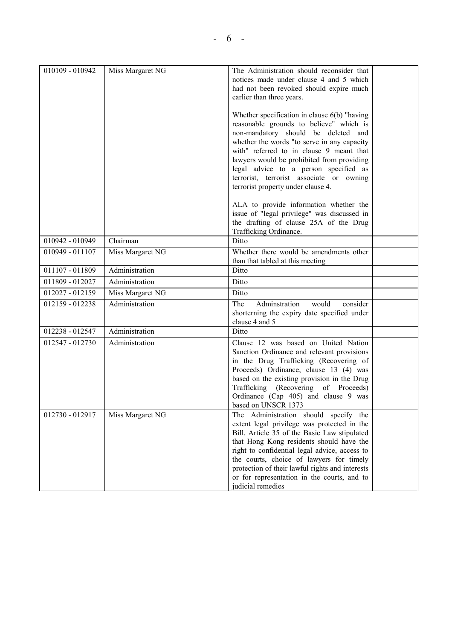| 010109 - 010942 | Miss Margaret NG | The Administration should reconsider that<br>notices made under clause 4 and 5 which<br>had not been revoked should expire much<br>earlier than three years.                                                                                                                                                                                                                                         |  |
|-----------------|------------------|------------------------------------------------------------------------------------------------------------------------------------------------------------------------------------------------------------------------------------------------------------------------------------------------------------------------------------------------------------------------------------------------------|--|
|                 |                  | Whether specification in clause $6(b)$ "having<br>reasonable grounds to believe" which is<br>non-mandatory should be deleted and<br>whether the words "to serve in any capacity<br>with" referred to in clause 9 meant that<br>lawyers would be prohibited from providing<br>legal advice to a person specified as<br>terrorist, terrorist associate or owning<br>terrorist property under clause 4. |  |
|                 |                  | ALA to provide information whether the<br>issue of "legal privilege" was discussed in<br>the drafting of clause 25A of the Drug<br>Trafficking Ordinance.                                                                                                                                                                                                                                            |  |
| 010942 - 010949 | Chairman         | Ditto                                                                                                                                                                                                                                                                                                                                                                                                |  |
| 010949 - 011107 | Miss Margaret NG | Whether there would be amendments other<br>than that tabled at this meeting                                                                                                                                                                                                                                                                                                                          |  |
| 011107 - 011809 | Administration   | Ditto                                                                                                                                                                                                                                                                                                                                                                                                |  |
| 011809 - 012027 | Administration   | Ditto                                                                                                                                                                                                                                                                                                                                                                                                |  |
| 012027 - 012159 | Miss Margaret NG | Ditto                                                                                                                                                                                                                                                                                                                                                                                                |  |
| 012159 - 012238 | Administration   | Adminstration<br>would<br>consider<br>The<br>shorterning the expiry date specified under<br>clause 4 and 5                                                                                                                                                                                                                                                                                           |  |
| 012238 - 012547 | Administration   | Ditto                                                                                                                                                                                                                                                                                                                                                                                                |  |
| 012547 - 012730 | Administration   | Clause 12 was based on United Nation<br>Sanction Ordinance and relevant provisions<br>in the Drug Trafficking (Recovering of<br>Proceeds) Ordinance, clause 13 (4) was<br>based on the existing provision in the Drug<br>Trafficking (Recovering of Proceeds)<br>Ordinance (Cap 405) and clause 9 was<br>based on UNSCR 1373                                                                         |  |
| 012730 - 012917 | Miss Margaret NG | The Administration should specify the<br>extent legal privilege was protected in the<br>Bill. Article 35 of the Basic Law stipulated<br>that Hong Kong residents should have the<br>right to confidential legal advice, access to<br>the courts, choice of lawyers for timely<br>protection of their lawful rights and interests<br>or for representation in the courts, and to<br>judicial remedies |  |